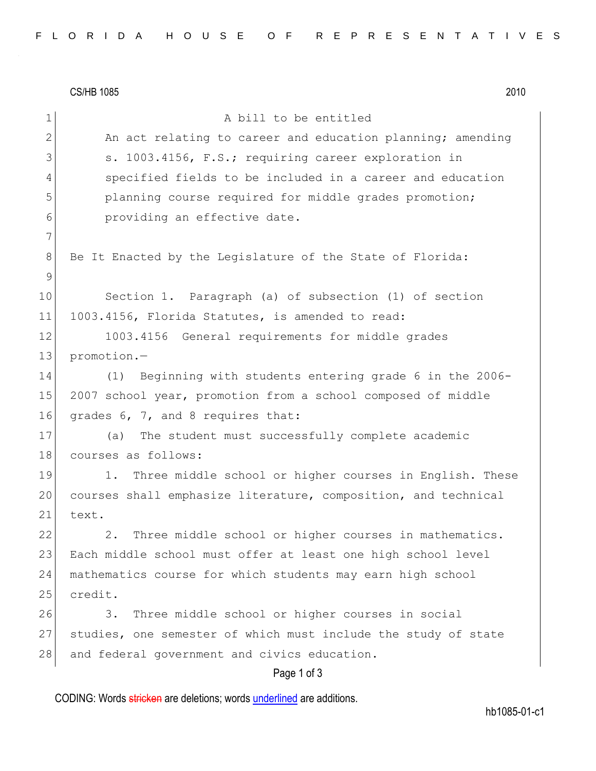CS/HB 1085 2010 Page 1 of 3 1 a bill to be entitled 2 An act relating to career and education planning; amending 3 S. 1003.4156, F.S.; requiring career exploration in 4 specified fields to be included in a career and education 5 **planning course required for middle grades promotion;** 6 **b** providing an effective date. 7 8 Be It Enacted by the Legislature of the State of Florida: 9 10 Section 1. Paragraph (a) of subsection (1) of section 11 1003.4156, Florida Statutes, is amended to read: 12 1003.4156 General requirements for middle grades 13 promotion.-14 (1) Beginning with students entering grade 6 in the 2006- 15 2007 school year, promotion from a school composed of middle 16 grades 6, 7, and 8 requires that: 17 (a) The student must successfully complete academic 18 courses as follows: 19 1. Three middle school or higher courses in English. These 20 courses shall emphasize literature, composition, and technical 21 text. 22 2. Three middle school or higher courses in mathematics. 23 Each middle school must offer at least one high school level 24 mathematics course for which students may earn high school 25 credit. 26 3. Three middle school or higher courses in social 27 studies, one semester of which must include the study of state 28 and federal government and civics education.

CODING: Words stricken are deletions; words underlined are additions.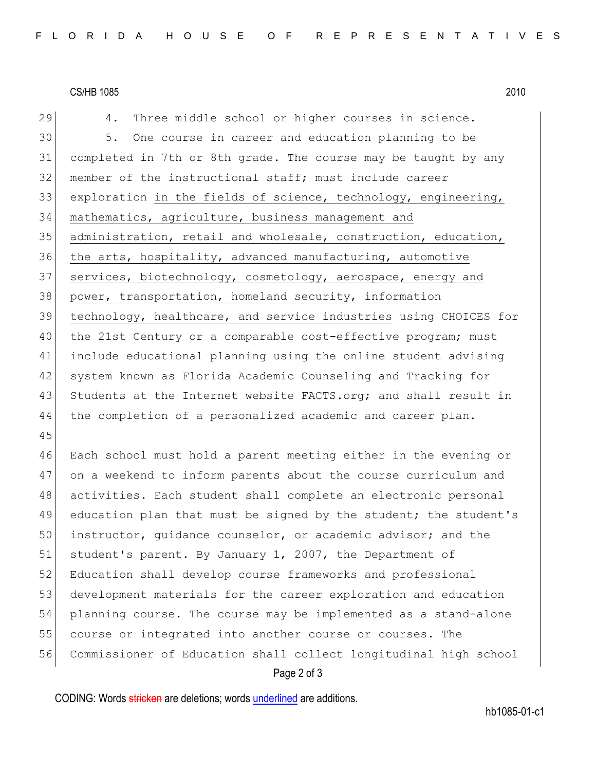CS/HB 1085 2010

29 4. Three middle school or higher courses in science. 30 5. One course in career and education planning to be 31 completed in 7th or 8th grade. The course may be taught by any 32 member of the instructional staff; must include career 33 exploration in the fields of science, technology, engineering, 34 mathematics, agriculture, business management and 35 administration, retail and wholesale, construction, education, 36 the arts, hospitality, advanced manufacturing, automotive 37 services, biotechnology, cosmetology, aerospace, energy and 38 power, transportation, homeland security, information 39 technology, healthcare, and service industries using CHOICES for 40 the 21st Century or a comparable cost-effective program; must 41 include educational planning using the online student advising 42 system known as Florida Academic Counseling and Tracking for 43 Students at the Internet website FACTS.org; and shall result in 44 the completion of a personalized academic and career plan. 45

 Each school must hold a parent meeting either in the evening or on a weekend to inform parents about the course curriculum and activities. Each student shall complete an electronic personal 49 education plan that must be signed by the student; the student's instructor, guidance counselor, or academic advisor; and the 51 student's parent. By January 1, 2007, the Department of Education shall develop course frameworks and professional 53 development materials for the career exploration and education planning course. The course may be implemented as a stand-alone 55 course or integrated into another course or courses. The Commissioner of Education shall collect longitudinal high school

## Page 2 of 3

CODING: Words stricken are deletions; words underlined are additions.

hb1085-01-c1